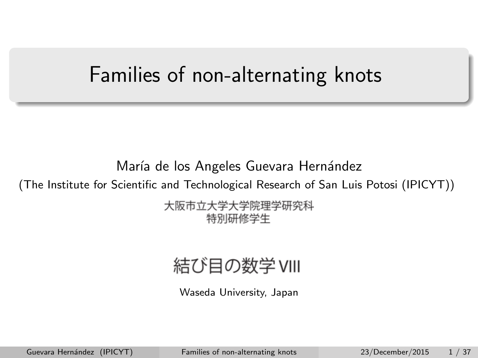# Families of non-alternating knots

María de los Angeles Guevara Hernández

(The Institute for Scientific and Technological Research of San Luis Potosi (IPICYT))

大阪市立大学大学院理学研究科 特別研修学生

# 結び目の数学VIII

Waseda University, Japan

<span id="page-0-0"></span>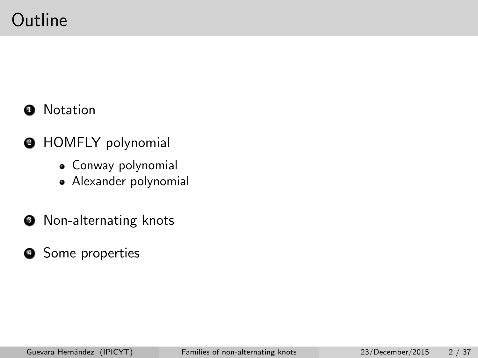# Outline

## **1** Notation

## **2** HOMFLY polynomial

- Conway polynomial
- Alexander polynomial
- <sup>3</sup> Non-alternating knots
- **4** Some properties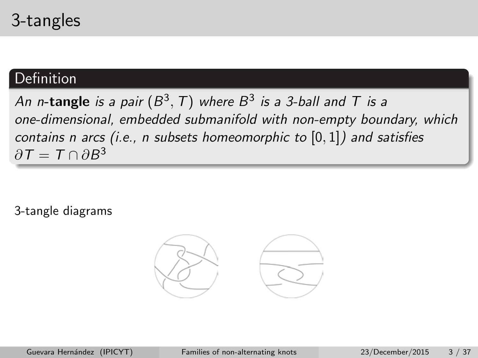# 3-tangles

## Definition

An n- $\tt{tangle}$  is a pair  $(B^3,\mathcal{T})$  where  $B^3$  is a 3-ball and  $\mathcal T$  is a one-dimensional, embedded submanifold with non-empty boundary, which contains n arcs (i.e., n subsets homeomorphic to  $[0, 1]$ ) and satisfies  $\partial T = T \cap \partial B^3$ 

3-tangle diagrams

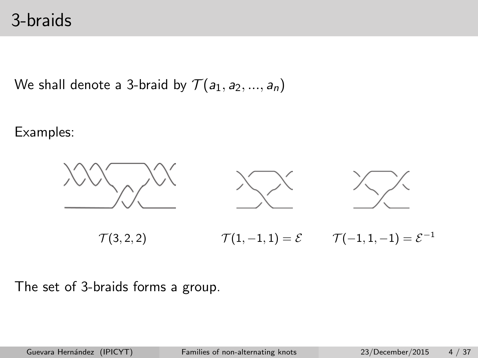## 3-braids

We shall denote a 3-braid by  $\mathcal{T}(a_1, a_2, ..., a_n)$ 

Examples:



The set of 3-braids forms a group.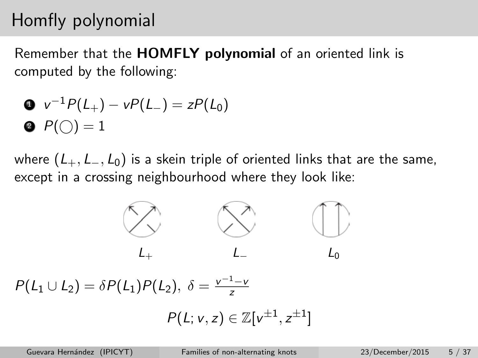# Homfly polynomial

Remember that the HOMFLY polynomial of an oriented link is computed by the following:

$$
\begin{aligned} \bullet \;\; &\mathsf{v}^{-1} P(L_+) - \mathsf{v} P(L_-) = z P(L_0) \\ \bullet \;\; P(\bigcirc) = 1 \end{aligned}
$$

where  $(L_+, L_-, L_0)$  is a skein triple of oriented links that are the same, except in a crossing neighbourhood where they look like:



 $P(L_1 \cup L_2) = \delta P(L_1) P(L_2), \ \delta = \frac{\nu^{-1} - \nu}{z}$ z

$$
P(L; v, z) \in \mathbb{Z}[v^{\pm 1}, z^{\pm 1}]
$$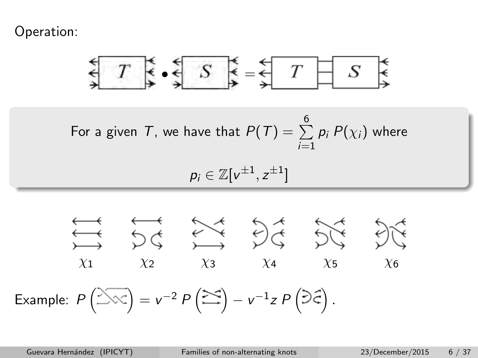Operation:

• = For a given T, we have that P(T) = P 6 i=1 p<sup>i</sup> P(χi) where p<sup>i</sup> ∈ Z[v ±1 , z ±1 ] χ<sup>1</sup> χ<sup>2</sup> χ<sup>3</sup> χ<sup>4</sup> χ<sup>5</sup> χ<sup>6</sup> Example: P = v <sup>−</sup><sup>2</sup> P − v −1 z P .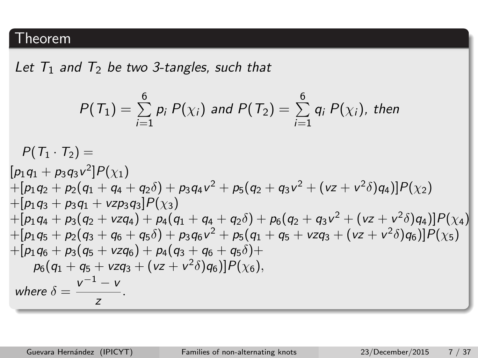Let  $T_1$  and  $T_2$  be two 3-tangles, such that

$$
P(T_1) = \sum_{i=1}^{6} p_i P(\chi_i) \text{ and } P(T_2) = \sum_{i=1}^{6} q_i P(\chi_i), \text{ then}
$$

$$
P(T_1 \cdot T_2) =
$$
\n
$$
[p_1 q_1 + p_3 q_3 v^2] P(\chi_1)
$$
\n
$$
+[p_1 q_2 + p_2 (q_1 + q_4 + q_2 \delta) + p_3 q_4 v^2 + p_5 (q_2 + q_3 v^2 + (vz + v^2 \delta) q_4)] P(\chi_2)
$$
\n
$$
+[p_1 q_3 + p_3 q_1 + vzp_3 q_3] P(\chi_3)
$$
\n
$$
+[p_1 q_4 + p_3 (q_2 + vzq_4) + p_4 (q_1 + q_4 + q_2 \delta) + p_6 (q_2 + q_3 v^2 + (vz + v^2 \delta) q_4)] P(\chi_4)
$$
\n
$$
+[p_1 q_5 + p_2 (q_3 + q_6 + q_5 \delta) + p_3 q_6 v^2 + p_5 (q_1 + q_5 + vzq_3 + (vz + v^2 \delta) q_6)] P(\chi_5)
$$
\n
$$
+[p_1 q_6 + p_3 (q_5 + vzq_6) + p_4 (q_3 + q_6 + q_5 \delta) + p_6 (q_1 + q_5 + vzq_3 + (vz + v^2 \delta) q_6)] P(\chi_6),
$$
\nwhere  $\delta = \frac{v^{-1} - v}{z}$ .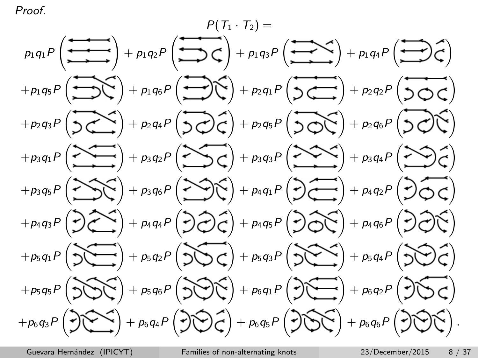Proof.

$$
p_{1}q_{1}P\left(\frac{P(T_{1} \cdot T_{2})}{P(T_{2})} + p_{1}q_{2}P\left(\frac{P(T_{1} \cdot T_{2})}{P(T_{2})}\right) + p_{1}q_{3}P\left(\frac{P(T_{2} \cdot T_{2})}{P(T_{2})}\right) + p_{1}q_{4}P\left(\frac{P(T_{2} \cdot T_{2})}{P(T_{2})}\right) + p_{2}q_{1}P\left(\frac{P(T_{2} \cdot T_{2})}{P(T_{2})}\right) + p_{2}q_{1}P\left(\frac{P(T_{2} \cdot T_{2})}{P(T_{2})}\right) + p_{2}q_{1}P\left(\frac{P(T_{2} \cdot T_{2})}{P(T_{2})}\right) + p_{2}q_{1}P\left(\frac{P(T_{2} \cdot T_{2})}{P(T_{2})}\right) + p_{2}q_{1}P\left(\frac{P(T_{2} \cdot T_{2})}{P(T_{2})}\right) + p_{3}q_{2}P\left(\frac{P(T_{2} \cdot T_{2})}{P(T_{2})}\right) + p_{3}q_{3}P\left(\frac{P(T_{2} \cdot T_{2})}{P(T_{2})}\right) + p_{3}q_{4}P\left(\frac{P(T_{2} \cdot T_{2})}{P(T_{2})}\right) + p_{4}q_{1}P\left(\frac{P(T_{2} \cdot T_{2})}{P(T_{2})}\right) + p_{4}q_{1}P\left(\frac{P(T_{2} \cdot T_{2})}{P(T_{2})}\right) + p_{4}q_{2}P\left(\frac{P(T_{2} \cdot T_{2})}{P(T_{2})}\right) + p_{4}q_{3}P\left(\frac{P(T_{2} \cdot T_{2})}{P(T_{2})}\right) + p_{5}q_{1}P\left(\frac{P(T_{2} \cdot T_{2})}{P(T_{2})}\right) + p_{5}q_{1}P\left(\frac{P(T_{2} \cdot T_{2})}{P(T_{2})}\right) + p_{5}q_{1}P\left(\frac{P(T_{2} \cdot T_{2})}{P(T_{2})}\right) + p_{5}q_{1}P\left(\frac{P(T_{2} \cdot T_{2})}{P(T_{2})}\right) + p_{5}q_{1}P\left(\frac{P(T_{2} \cdot T_{2})}{P(T_{2})}\right) + p_{5}q_{1}P\left(\frac{P(T_{2} \cdot T_{2})}{
$$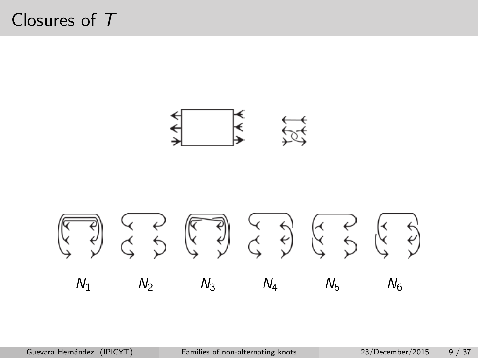# Closures of T

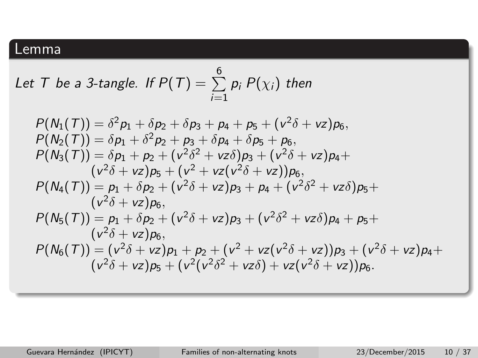## Lemma

Let T be a 3-tangle. If 
$$
P(T) = \sum_{i=1}^{6} p_i P(\chi_i)
$$
 then

$$
P(N_1(T)) = \delta^2 p_1 + \delta p_2 + \delta p_3 + p_4 + p_5 + (v^2 \delta + vz)p_6,
$$
  
\n
$$
P(N_2(T)) = \delta p_1 + \delta^2 p_2 + p_3 + \delta p_4 + \delta p_5 + p_6,
$$
  
\n
$$
P(N_3(T)) = \delta p_1 + p_2 + (v^2 \delta^2 + vz \delta)p_3 + (v^2 \delta + vz)p_4 + (v^2 \delta + vz)p_5 + (v^2 + vz(v^2 \delta + vz))p_6,
$$
  
\n
$$
P(N_4(T)) = p_1 + \delta p_2 + (v^2 \delta + vz)p_3 + p_4 + (v^2 \delta^2 + vz \delta)p_5 + (v^2 \delta + vz)p_6,
$$
  
\n
$$
P(N_5(T)) = p_1 + \delta p_2 + (v^2 \delta + vz)p_3 + (v^2 \delta^2 + vz \delta)p_4 + p_5 + (v^2 \delta + vz)p_6,
$$
  
\n
$$
P(N_6(T)) = (v^2 \delta + vz)p_1 + p_2 + (v^2 + vz(v^2 \delta + vz))p_3 + (v^2 \delta + vz)p_4 + (v^2 \delta + vz)p_5 + (v^2(v^2 \delta^2 + vz \delta) + vz(v^2 \delta + vz))p_6.
$$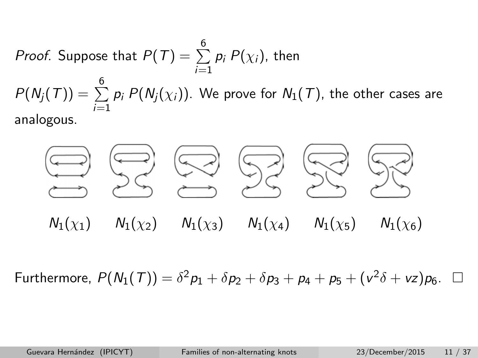*Proof.* Suppose that 
$$
P(T) = \sum_{i=1}^{6} p_i P(\chi_i)
$$
, then  
\n
$$
P(N_j(T)) = \sum_{i=1}^{6} p_i P(N_j(\chi_i))
$$
 We prove for  $N_1(T)$ , the other cases are analogous.

anogou



Furthermore,  $P(N_1(T)) = \delta^2 p_1 + \delta p_2 + \delta p_3 + p_4 + p_5 + (v^2 \delta + vz) p_6$ .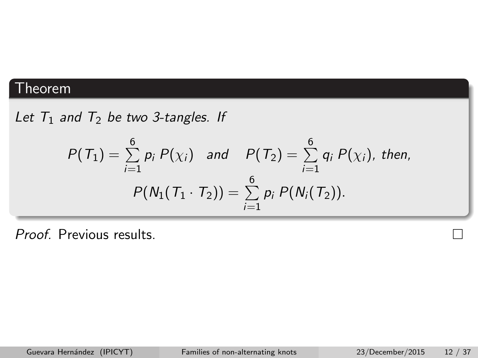Let  $T_1$  and  $T_2$  be two 3-tangles. If

$$
P(T_1) = \sum_{i=1}^{6} p_i P(\chi_i) \text{ and } P(T_2) = \sum_{i=1}^{6} q_i P(\chi_i), \text{ then,}
$$

$$
P(N_1(T_1 \cdot T_2)) = \sum_{i=1}^{6} p_i P(N_i(T_2)).
$$

Proof. Previous results.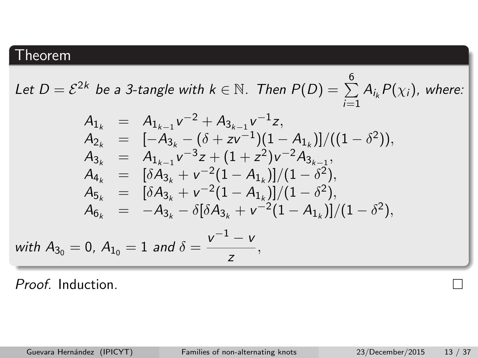Let  $D=\mathcal{E}^{2k}$  be a 3-tangle with  $k\in\mathbb{N}$ . Then  $P(D)=\sum A_{i_k}P(\chi_i)$ , where: 6  $i=1$ 

$$
A_{1_k} = A_{1_{k-1}}v^{-2} + A_{3_{k-1}}v^{-1}z,
$$
  
\n
$$
A_{2_k} = [-A_{3_k} - (\delta + zv^{-1})(1 - A_{1_k})]/((1 - \delta^2)),
$$
  
\n
$$
A_{3_k} = A_{1_{k-1}}v^{-3}z + (1 + z^2)v^{-2}A_{3_{k-1}},
$$
  
\n
$$
A_{4_k} = [\delta A_{3_k} + v^{-2}(1 - A_{1_k})]/(1 - \delta^2),
$$
  
\n
$$
A_{5_k} = [\delta A_{3_k} + v^{-2}(1 - A_{1_k})]/(1 - \delta^2),
$$
  
\n
$$
A_{6_k} = -A_{3_k} - \delta[\delta A_{3_k} + v^{-2}(1 - A_{1_k})]/(1 - \delta^2),
$$
  
\nwith  $A_{3_0} = 0$ ,  $A_{1_0} = 1$  and  $\delta = \frac{v^{-1} - v}{z}$ ,

Proof. Induction.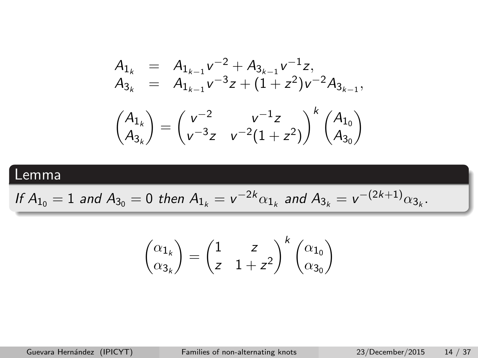$$
A_{1_k} = A_{1_{k-1}}v^{-2} + A_{3_{k-1}}v^{-1}z,
$$
  
\n
$$
A_{3_k} = A_{1_{k-1}}v^{-3}z + (1+z^2)v^{-2}A_{3_{k-1}},
$$
  
\n
$$
\begin{pmatrix} A_{1_k} \\ A_{3_k} \end{pmatrix} = \begin{pmatrix} v^{-2} & v^{-1}z \\ v^{-3}z & v^{-2}(1+z^2) \end{pmatrix}^k \begin{pmatrix} A_{1_0} \\ A_{3_0} \end{pmatrix}
$$

### Lemma

If 
$$
A_{1_0} = 1
$$
 and  $A_{3_0} = 0$  then  $A_{1_k} = v^{-2k} \alpha_{1_k}$  and  $A_{3_k} = v^{-(2k+1)} \alpha_{3_k}$ .

$$
\begin{pmatrix} \alpha_{1_k} \\ \alpha_{3_k} \end{pmatrix} = \begin{pmatrix} 1 & z \\ z & 1+z^2 \end{pmatrix}^k \begin{pmatrix} \alpha_{1_0} \\ \alpha_{3_0} \end{pmatrix}
$$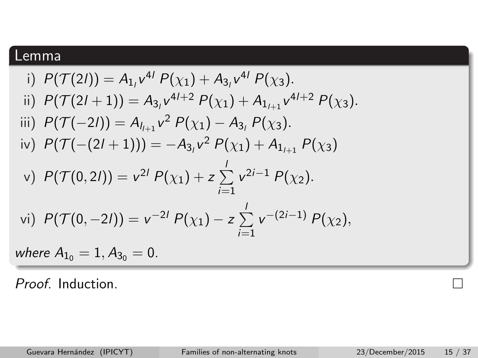### Lemma

i) 
$$
P(\mathcal{T}(2I)) = A_{11} v^{41} P(\chi_1) + A_{31} v^{41} P(\chi_3)
$$
.

ii) 
$$
P(\mathcal{T}(2l+1)) = A_{3_l} v^{4l+2} P(\chi_1) + A_{1_{l+1}} v^{4l+2} P(\chi_3)
$$
.

iii) 
$$
P(\mathcal{T}(-2I)) = A_{I_{l+1}}v^2 P(\chi_1) - A_{3_l} P(\chi_3).
$$

iv) 
$$
P(\mathcal{T}(-(2l+1))) = -A_{3_l}v^2 P(\chi_1) + A_{1_{l+1}} P(\chi_3)
$$

v) 
$$
P(\mathcal{T}(0, 2l)) = v^{2l} P(\chi_1) + z \sum_{i=1}^{l} v^{2i-1} P(\chi_2).
$$

vi) 
$$
P(\mathcal{T}(0,-2l)) = v^{-2l} P(\chi_1) - z \sum_{i=1}^{l} v^{-(2i-1)} P(\chi_2),
$$

where  $A_{1_0} = 1, A_{3_0} = 0.$ 

Proof. Induction.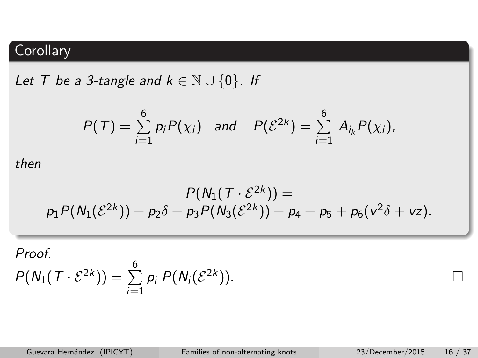Let T be a 3-tangle and  $k \in \mathbb{N} \cup \{0\}$ . If

$$
P(T) = \sum_{i=1}^{6} p_i P(\chi_i) \text{ and } P(\mathcal{E}^{2k}) = \sum_{i=1}^{6} A_{i_k} P(\chi_i),
$$

then

$$
P(N_1(T \cdot \mathcal{E}^{2k})) = \\ p_1 P(N_1(\mathcal{E}^{2k})) + p_2 \delta + p_3 P(N_3(\mathcal{E}^{2k})) + p_4 + p_5 + p_6(v^2 \delta + vz).
$$

Proof.  
\n
$$
P(N_1(T \cdot \mathcal{E}^{2k})) = \sum_{i=1}^{6} p_i P(N_i(\mathcal{E}^{2k})).
$$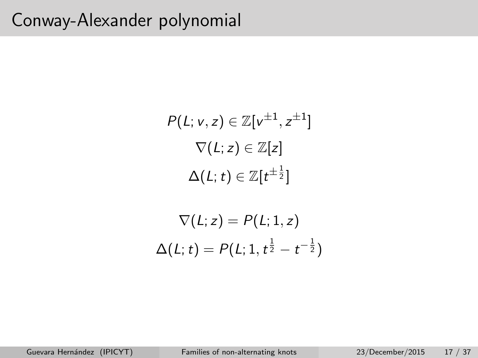# Conway-Alexander polynomial

$$
P(L; v, z) \in \mathbb{Z}[v^{\pm 1}, z^{\pm 1}]
$$

$$
\nabla(L; z) \in \mathbb{Z}[z]
$$

$$
\Delta(L; t) \in \mathbb{Z}[t^{\pm \frac{1}{2}}]
$$

$$
\nabla(L; z) = P(L; 1, z)
$$

$$
\Delta(L; t) = P(L; 1, t^{\frac{1}{2}} - t^{-\frac{1}{2}})
$$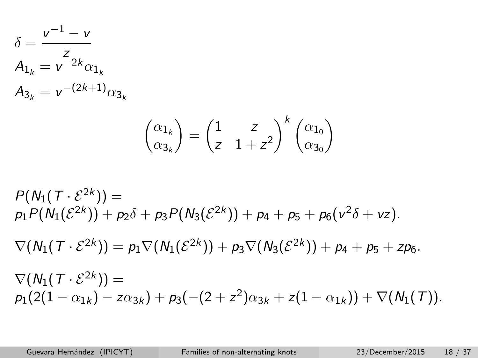$$
\delta = \frac{v^{-1} - v}{z_{\alpha_{1_k}}}
$$
  
\n
$$
A_{1_k} = v^{-2k} \alpha_{1_k}
$$
  
\n
$$
A_{3_k} = v^{-(2k+1)} \alpha_{3_k}
$$

$$
\begin{pmatrix} \alpha_{1_k} \\ \alpha_{3_k} \end{pmatrix} = \begin{pmatrix} 1 & z \\ z & 1+z^2 \end{pmatrix}^k \begin{pmatrix} \alpha_{1_0} \\ \alpha_{3_0} \end{pmatrix}
$$

$$
P(N_1(T \cdot \mathcal{E}^{2k})) =
$$
  
\n
$$
p_1 P(N_1(\mathcal{E}^{2k})) + p_2 \delta + p_3 P(N_3(\mathcal{E}^{2k})) + p_4 + p_5 + p_6(v^2 \delta + vz).
$$
  
\n
$$
\nabla(N_1(T \cdot \mathcal{E}^{2k})) = p_1 \nabla(N_1(\mathcal{E}^{2k})) + p_3 \nabla(N_3(\mathcal{E}^{2k})) + p_4 + p_5 + z p_6.
$$
  
\n
$$
\nabla(N_1(T \cdot \mathcal{E}^{2k})) =
$$
  
\n
$$
p_1(2(1 - \alpha_{1k}) - z\alpha_{3k}) + p_3(-(2 + z^2)\alpha_{3k} + z(1 - \alpha_{1k})) + \nabla(N_1(T)).
$$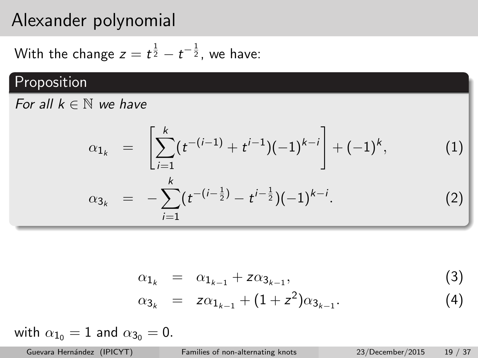# Alexander polynomial

With the change  $z=t^{\frac{1}{2}}-t^{-\frac{1}{2}}$ , we have:

## **Proposition**

For all  $k \in \mathbb{N}$  we have

$$
\alpha_{1_k} = \left[ \sum_{i=1}^k (t^{-(i-1)} + t^{i-1})(-1)^{k-i} \right] + (-1)^k, \tag{1}
$$
\n
$$
\alpha_{3_k} = -\sum_{i=1}^k (t^{-(i-\frac{1}{2})} - t^{i-\frac{1}{2}})(-1)^{k-i}.
$$
\n
$$
(2)
$$

$$
\alpha_{1_k} = \alpha_{1_{k-1}} + z\alpha_{3_{k-1}}, \tag{3}
$$

$$
\alpha_{3_k} = z\alpha_{1_{k-1}} + (1+z^2)\alpha_{3_{k-1}}.\tag{4}
$$

with  $\alpha_{10} = 1$  and  $\alpha_{30} = 0$ .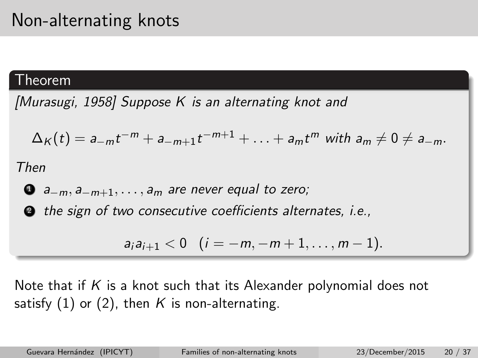# Non-alternating knots

### Theorem

[\[Murasugi,](#page-36-1) 1958] Suppose K is an alternating knot and

$$
\Delta_K(t) = a_{-m}t^{-m} + a_{-m+1}t^{-m+1} + \ldots + a_mt^m \text{ with } a_m \neq 0 \neq a_{-m}.
$$

Then

 $\bullet$  a<sub>-m</sub>, a<sub>-m+1</sub>, ..., a<sub>m</sub> are never equal to zero;

**2** the sign of two consecutive coefficients alternates, *i.e.*,

$$
a_i a_{i+1} < 0 \quad (i = -m, -m+1, \ldots, m-1).
$$

Note that if  $K$  is a knot such that its Alexander polynomial does not satisfy  $(1)$  or  $(2)$ , then K is non-alternating.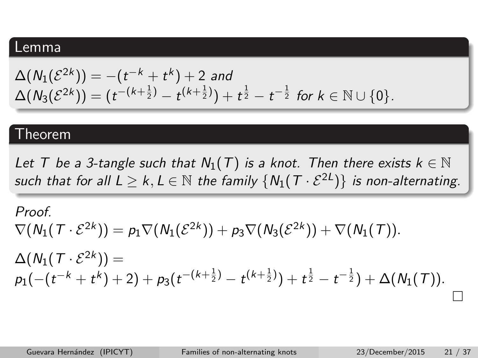#### Lemma

$$
\Delta(N_1(\mathcal{E}^{2k})) = -(t^{-k} + t^k) + 2 \text{ and}
$$
  
 
$$
\Delta(N_3(\mathcal{E}^{2k})) = (t^{-(k+\frac{1}{2})} - t^{(k+\frac{1}{2})}) + t^{\frac{1}{2}} - t^{-\frac{1}{2}} \text{ for } k \in \mathbb{N} \cup \{0\}.
$$

#### Theorem

Let T be a 3-tangle such that  $N_1(T)$  is a knot. Then there exists  $k \in \mathbb{N}$ such that for all  $L\geq k, L\in\mathbb{N}$  the family  $\{N_1(T\cdot\mathcal{E}^{2L})\}$  is non-alternating.

Proof.  $\nabla(N_1(T\cdot \mathcal{E}^{2k}))=p_1\nabla(N_1(\mathcal{E}^{2k}))+p_3\nabla(N_3(\mathcal{E}^{2k}))+\nabla(N_1(T)).$  $\Delta(N_1(\,T \cdot {\cal E}^{2k})) =$  $p_1(-(t^{-k}+t^{k})+2)+p_3(t^{-(k+\frac{1}{2})}-t^{(k+\frac{1}{2})})+t^{\frac{1}{2}}-t^{-\frac{1}{2}})+\Delta(N_1(\mathcal{T})).$  $\Box$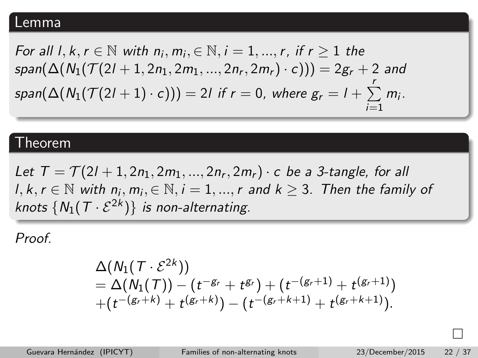#### Lemma

For all  $l, k, r \in \mathbb{N}$  with  $n_i, m_i \in \mathbb{N}, i = 1, ..., r$ , if  $r \ge 1$  the  $span(\Delta(N_1(\mathcal{T}(2l+1,2n_1,2m_1,...,2n_r,2m_r)\cdot c)))=2g_r+2$  and  $span(\Delta(N_1(\mathcal{T}(2l+1)\cdot c)))=2l$  if  $r=0$ , where  $g_r=l+\sum^r m_i$ .  $i=1$ 

#### Theorem

Let  $T = \mathcal{T}(2l + 1, 2n_1, 2m_1, ..., 2n_r, 2m_r) \cdot c$  be a 3-tangle, for all  $l, k, r \in \mathbb{N}$  with  $n_i, m_i, \in \mathbb{N}, i = 1, ..., r$  and  $k \geq 3$ . Then the family of knots  $\{N_1(T \cdot \mathcal{E}^{2k})\}$  is non-alternating.

Proof

$$
\Delta(N_1(T \cdot \mathcal{E}^{2k}))
$$
  
=  $\Delta(N_1(T)) - (t^{-g_r} + t^{g_r}) + (t^{-(g_r+1)} + t^{(g_r+1)})$   
+  $(t^{-(g_r+k)} + t^{(g_r+k)}) - (t^{-(g_r+k+1)} + t^{(g_r+k+1)}).$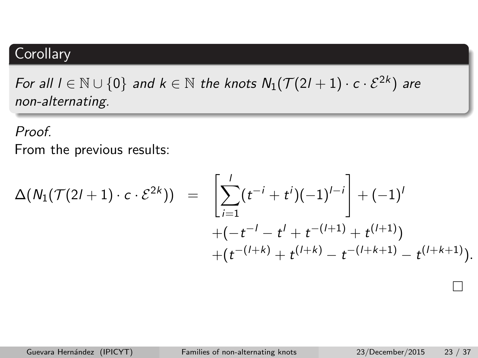For all  $l \in \mathbb{N} \cup \{0\}$  and  $k \in \mathbb{N}$  the knots  $\mathsf{N}_1(\mathcal{T}(2l+1)\cdot c\cdot \mathcal{E}^{2k})$  are non-alternating.

Proof From the previous results:

$$
\Delta(N_1(\mathcal{T}(2l+1)\cdot c\cdot \mathcal{E}^{2k})) = \left[\sum_{i=1}^l (t^{-i}+t^i)(-1)^{l-i}\right] + (-1)^l
$$
  
 
$$
+(-t^{-l}-t^l+t^{-(l+1)}+t^{(l+1)})
$$
  
 
$$
+ (t^{-(l+k)}+t^{(l+k)}-t^{-(l+k+1)}-t^{(l+k+1)}).
$$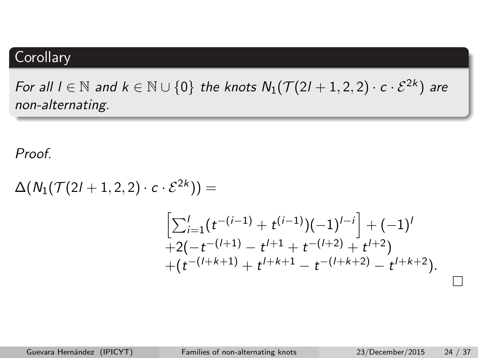For all  $l \in \mathbb{N}$  and  $k \in \mathbb{N} \cup \{0\}$  the knots  $\mathsf{N}_1(\mathcal{T}(2l+1,2,2) \cdot c \cdot \mathcal{E}^{2k})$  are non-alternating.

Proof.

$$
\Delta(N_1(\mathcal{T}(2l+1,2,2)\cdot c\cdot \mathcal{E}^{2k}))=
$$

$$
\left[\sum_{i=1}^{l} (t^{-(i-1)} + t^{(i-1)}) (-1)^{l-i}\right] + (-1)^{l} + 2(-t^{-(l+1)} - t^{l+1} + t^{-(l+2)} + t^{l+2}) + (t^{-(l+k+1)} + t^{l+k+1} - t^{-(l+k+2)} - t^{l+k+2}).
$$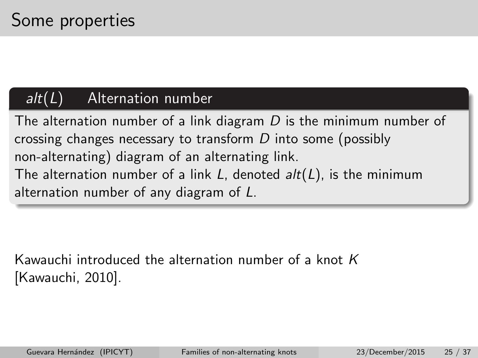## $alt(L)$  Alternation number

The alternation number of a link diagram  $D$  is the minimum number of crossing changes necessary to transform  $D$  into some (possibly non-alternating) diagram of an alternating link. The alternation number of a link L, denoted  $alt(L)$ , is the minimum alternation number of any diagram of L.

Kawauchi introduced the alternation number of a knot  $K$ [\[Kawauchi, 2010\]](#page-36-2).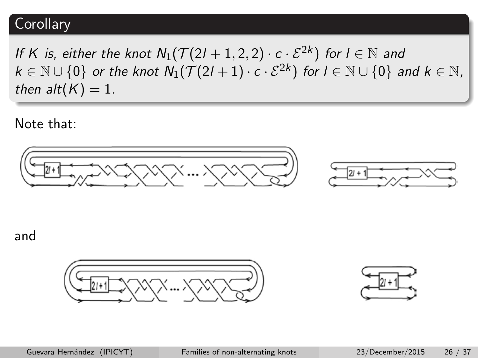If K is, either the knot  $\mathsf{N}_1(\mathcal{T}(2l+1,2,2)\cdot c\cdot \mathcal{E}^{2k})$  for  $l\in\mathbb{N}$  and  $k\in\mathbb{N}\cup\{0\}$  or the knot  $\mathsf{N}_1(\mathcal{T}(2l+1)\cdot c\cdot\mathcal{E}^{2k})$  for  $l\in\mathbb{N}\cup\{0\}$  and  $k\in\mathbb{N}$ , then  $alt(K) = 1$ .

Note that:



and



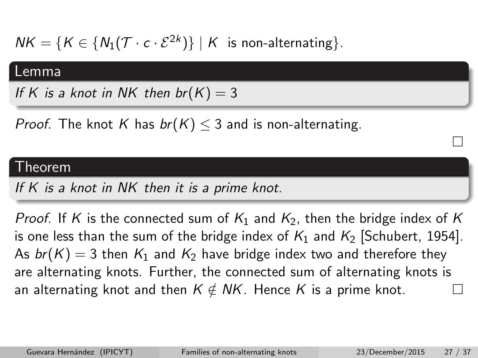$$
NK = \{ K \in \{ N_1(\mathcal{T} \cdot c \cdot \mathcal{E}^{2k}) \} \mid K \text{ is non-alternating} \}.
$$

#### Lemma

If K is a knot in NK then  $br(K) = 3$ 

*Proof.* The knot K has  $br(K) \leq 3$  and is non-alternating.

#### Theorem

If K is a knot in NK then it is a prime knot.

*Proof.* If K is the connected sum of  $K_1$  and  $K_2$ , then the bridge index of K is one less than the sum of the bridge index of  $K_1$  and  $K_2$  [\[Schubert, 1954\]](#page-36-3). As  $br(K) = 3$  then  $K_1$  and  $K_2$  have bridge index two and therefore they are alternating knots. Further, the connected sum of alternating knots is an alternating knot and then  $K \notin NK$ . Hence K is a prime knot.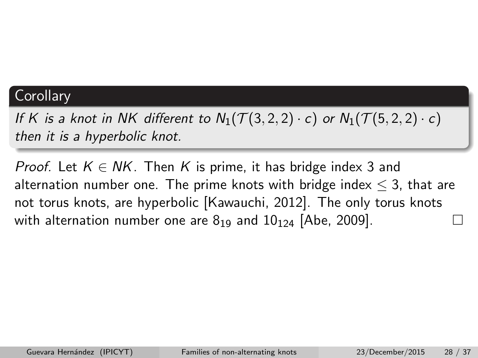If K is a knot in NK different to  $N_1(\mathcal{T}(3,2,2)\cdot c)$  or  $N_1(\mathcal{T}(5,2,2)\cdot c)$ then it is a hyperbolic knot.

*Proof.* Let  $K \in NK$ . Then K is prime, it has bridge index 3 and alternation number one. The prime knots with bridge index  $\leq$  3, that are not torus knots, are hyperbolic [\[Kawauchi, 2012\]](#page-36-4). The only torus knots with alternation number one are  $8_{19}$  and  $10_{124}$  [\[Abe, 2009\]](#page-36-5).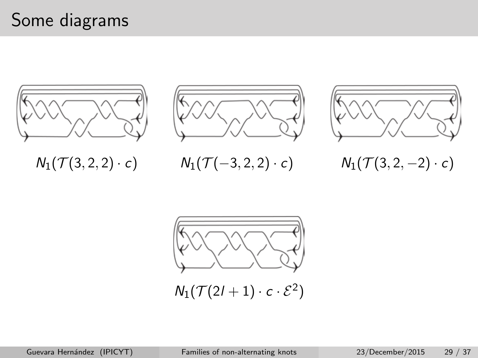



 $N_1(\mathcal{T}(3, 2, 2) \cdot c)$   $N_1(\mathcal{T}(-3, 2, 2) \cdot c)$   $N_1(\mathcal{T}(3, 2, -2) \cdot c)$ 



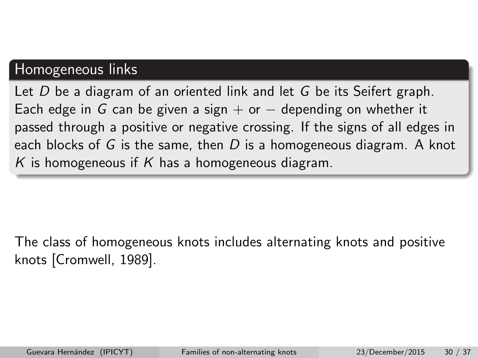### Homogeneous links

Let D be a diagram of an oriented link and let G be its Seifert graph. Each edge in G can be given a sign  $+$  or  $-$  depending on whether it passed through a positive or negative crossing. If the signs of all edges in each blocks of G is the same, then D is a homogeneous diagram. A knot K is homogeneous if K has a homogeneous diagram.

The class of homogeneous knots includes alternating knots and positive knots [\[Cromwell, 1989\]](#page-36-6).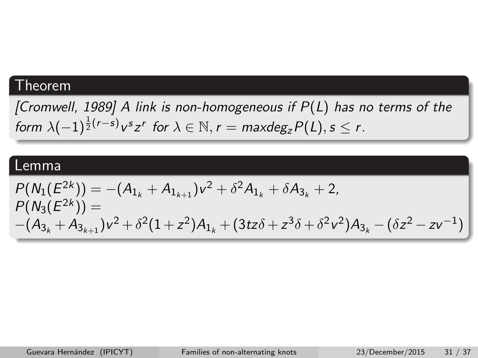[\[Cromwell, 1989\]](#page-36-6) A link is non-homogeneous if  $P(L)$  has no terms of the form  $\lambda(-1)^{\frac{1}{2}(r-s)}v^sz^r$  for  $\lambda\in\mathbb{N}$ ,  $r=maxdeg_zP(L)$ ,  $s\leq r$ .

#### Lemma

$$
P(N_1(E^{2k})) = -(A_{1_k} + A_{1_{k+1}})v^2 + \delta^2 A_{1_k} + \delta A_{3_k} + 2,
$$
  
\n
$$
P(N_3(E^{2k})) =
$$
  
\n
$$
-(A_{3_k} + A_{3_{k+1}})v^2 + \delta^2(1+z^2)A_{1_k} + (3tz\delta + z^3\delta + \delta^2v^2)A_{3_k} - (\delta z^2 - zv^{-1})
$$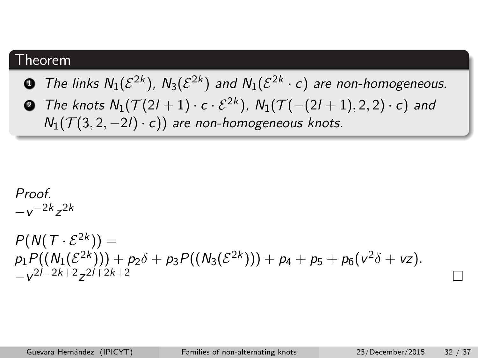- $\textbf{D}$  The links  $\mathsf{N}_1(\mathcal{E}^{2k})$ ,  $\mathsf{N}_3(\mathcal{E}^{2k})$  and  $\mathsf{N}_1(\mathcal{E}^{2k}\cdot c)$  are non-homogeneous.
- $\bullet$  The knots  $\mathsf{N}_1(\mathcal{T}(2l+1)\cdot c\cdot \mathcal{E}^{2k})$ ,  $\mathsf{N}_1(\mathcal{T}(-(2l+1),2,2)\cdot c)$  and  $N_1(\mathcal{T}(3, 2, -2l) \cdot c)$  are non-homogeneous knots.

$$
\begin{array}{c}\n\text{Proof.} \\
-v^{-2k}z^{2k}\n\end{array}
$$

$$
P(N(T \cdot \mathcal{E}^{2k})) = \n p_1 P((N_1(\mathcal{E}^{2k}))) + p_2 \delta + p_3 P((N_3(\mathcal{E}^{2k}))) + p_4 + p_5 + p_6(v^2 \delta + vz).
$$
\n
$$
-v^{2l-2k+2} z^{2l+2k+2}
$$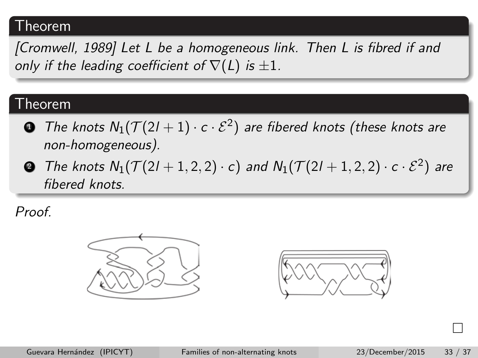[\[Cromwell, 1989\]](#page-36-6) Let L be a homogeneous link. Then L is fibred if and only if the leading coefficient of  $\nabla(L)$  is  $\pm 1$ .

### Theorem

- $\bullet$  The knots  $\mathsf{N}_1(\mathcal{T}(2l+1)\cdot c\cdot \mathcal{E}^2)$  are fibered knots (these knots are non-homogeneous).
- $\bullet$  The knots  $\mathsf{N}_1(\mathcal{T}(2l+1,2,2)\cdot c)$  and  $\mathsf{N}_1(\mathcal{T}(2l+1,2,2)\cdot c\cdot\mathcal{E}^2)$  are fibered knots.

Proof.

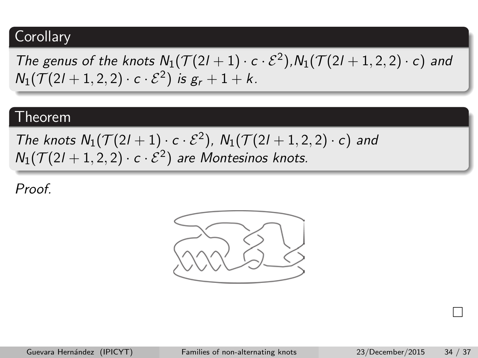The genus of the knots  $N_1(\mathcal{T}(2l + 1) \cdot c \cdot \mathcal{E}^2)$ ,  $N_1(\mathcal{T}(2l + 1, 2, 2) \cdot c)$  and  $N_1(\mathcal{T}(2l+1,2,2)\cdot c\cdot \mathcal{E}^2)$  is  $g_r+1+k$ .

#### Theorem

The knots  $N_1(\mathcal{T}(2l+1)\cdot c\cdot \mathcal{E}^2)$ ,  $N_1(\mathcal{T}(2l+1,2,2)\cdot c)$  and  $N_1(\mathcal{T}(2l+1,2,2)\cdot c\cdot\mathcal{E}^2)$  are Montesinos knots.

Proof

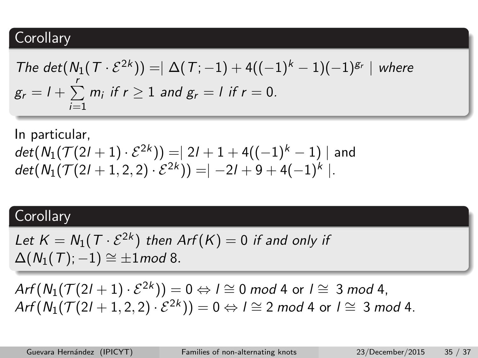The 
$$
det(N_1(T \cdot \mathcal{E}^{2k})) = |\Delta(T; -1) + 4((-1)^k - 1)(-1)^{g_r}|
$$
 where  $g_r = l + \sum_{i=1}^r m_i$  if  $r \ge 1$  and  $g_r = l$  if  $r = 0$ .

In particular,  
\n
$$
det(N_1(\mathcal{T}(2l+1)\cdot \mathcal{E}^{2k})) = | 2l + 1 + 4((-1)^k - 1) |
$$
and  
\n
$$
det(N_1(\mathcal{T}(2l+1,2,2)\cdot \mathcal{E}^{2k})) = |-2l + 9 + 4(-1)^k |.
$$

### **Corollary**

Let  $K=N_1(T\cdot \mathcal{E}^{2k})$  then  $Arf(K)=0$  if and only if  $\Delta(N_1(T); -1) \cong \pm 1$  mod 8.

 $Arf(N_1(\mathcal{T}(2l+1)\cdot\mathcal{E}^{2k}))=0\Leftrightarrow l\cong 0$  mod 4 or  $l\cong~3$  mod 4,  $Arf(N_1(\mathcal{T}(2l+1,2,2)\cdot\mathcal{E}^{2k}))=0\Leftrightarrow l\cong 2\text{ mod }4 \text{ or }l\cong 3\text{ mod }4.$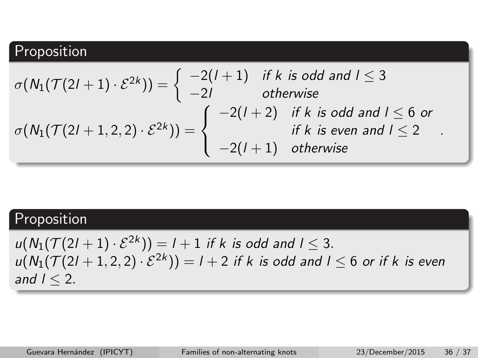### Proposition

$$
\sigma(N_1(\mathcal{T}(2l+1)\cdot\mathcal{E}^{2k})) = \begin{cases}\n-2(l+1) & \text{if } k \text{ is odd and } l \leq 3 \\
-2l & \text{otherwise}\n\end{cases}
$$
\n
$$
\sigma(N_1(\mathcal{T}(2l+1,2,2)\cdot\mathcal{E}^{2k})) = \begin{cases}\n-2(l+2) & \text{if } k \text{ is odd and } l \leq 6 \text{ or } \\
& \text{if } k \text{ is even and } l \leq 2 \\
-2(l+1) & \text{otherwise}\n\end{cases}
$$

## **Proposition**

 $u(N_1(\mathcal{T}(2l+1)\cdot \mathcal{E}^{2k}))=l+1$  if k is odd and  $l\leq 3.$  $u(N_1(\mathcal{T}(2l+1,2,2)\cdot\mathcal{E}^{2k}))=l+2$  if  $k$  is odd and  $l\leq 6$  or if  $k$  is even and  $1 < 2$ .